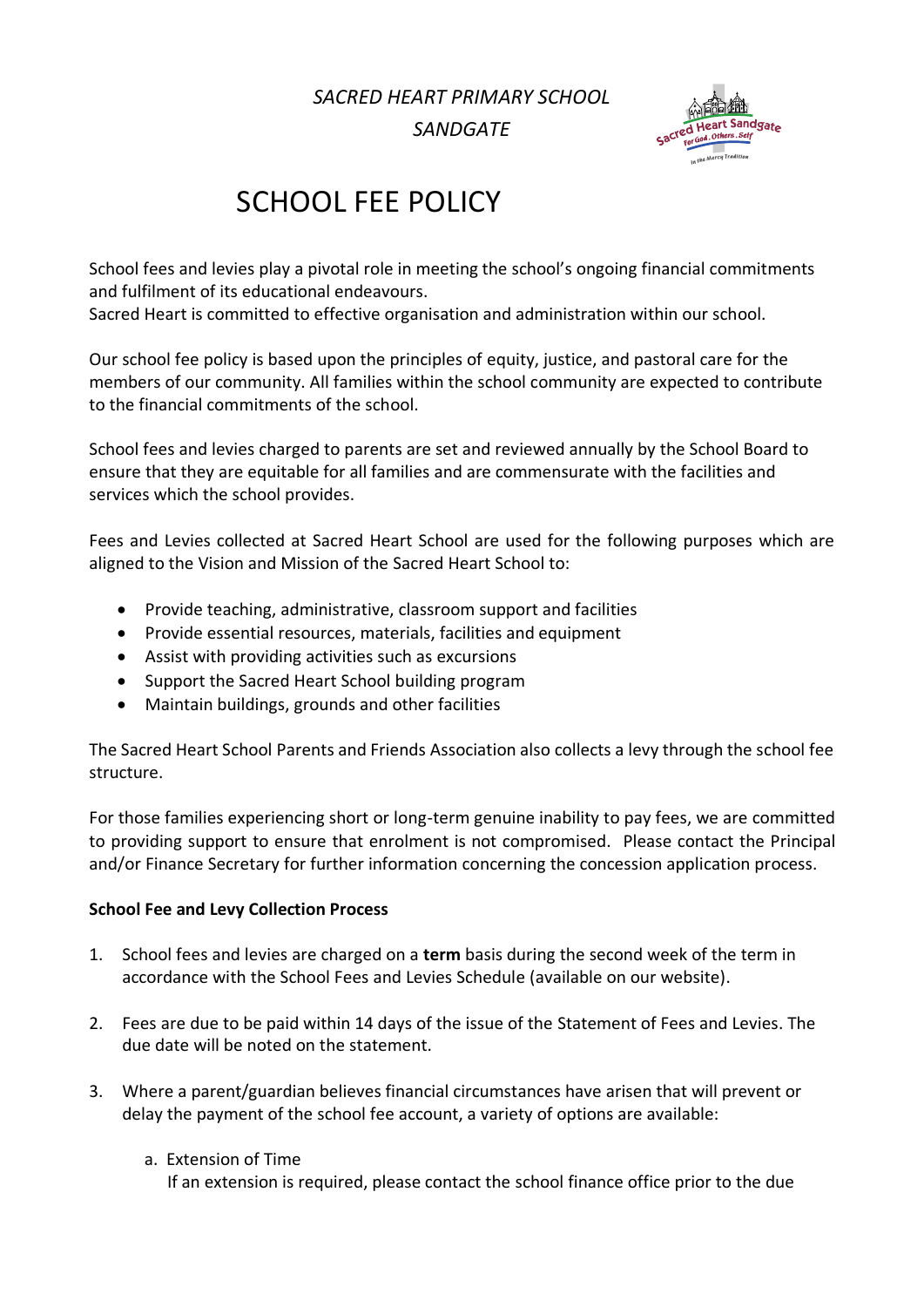*SACRED HEART PRIMARY SCHOOL*

*SANDGATE*



# SCHOOL FEE POLICY

School fees and levies play a pivotal role in meeting the school's ongoing financial commitments and fulfilment of its educational endeavours.

Sacred Heart is committed to effective organisation and administration within our school.

Our school fee policy is based upon the principles of equity, justice, and pastoral care for the members of our community. All families within the school community are expected to contribute to the financial commitments of the school.

School fees and levies charged to parents are set and reviewed annually by the School Board to ensure that they are equitable for all families and are commensurate with the facilities and services which the school provides.

Fees and Levies collected at Sacred Heart School are used for the following purposes which are aligned to the Vision and Mission of the Sacred Heart School to:

- Provide teaching, administrative, classroom support and facilities
- Provide essential resources, materials, facilities and equipment
- Assist with providing activities such as excursions
- Support the Sacred Heart School building program
- Maintain buildings, grounds and other facilities

The Sacred Heart School Parents and Friends Association also collects a levy through the school fee structure.

For those families experiencing short or long-term genuine inability to pay fees, we are committed to providing support to ensure that enrolment is not compromised. Please contact the Principal and/or Finance Secretary for further information concerning the concession application process.

#### **School Fee and Levy Collection Process**

- 1. School fees and levies are charged on a **term** basis during the second week of the term in accordance with the School Fees and Levies Schedule (available on our website).
- 2. Fees are due to be paid within 14 days of the issue of the Statement of Fees and Levies. The due date will be noted on the statement.
- 3. Where a parent/guardian believes financial circumstances have arisen that will prevent or delay the payment of the school fee account, a variety of options are available:
	- a. Extension of Time

If an extension is required, please contact the school finance office prior to the due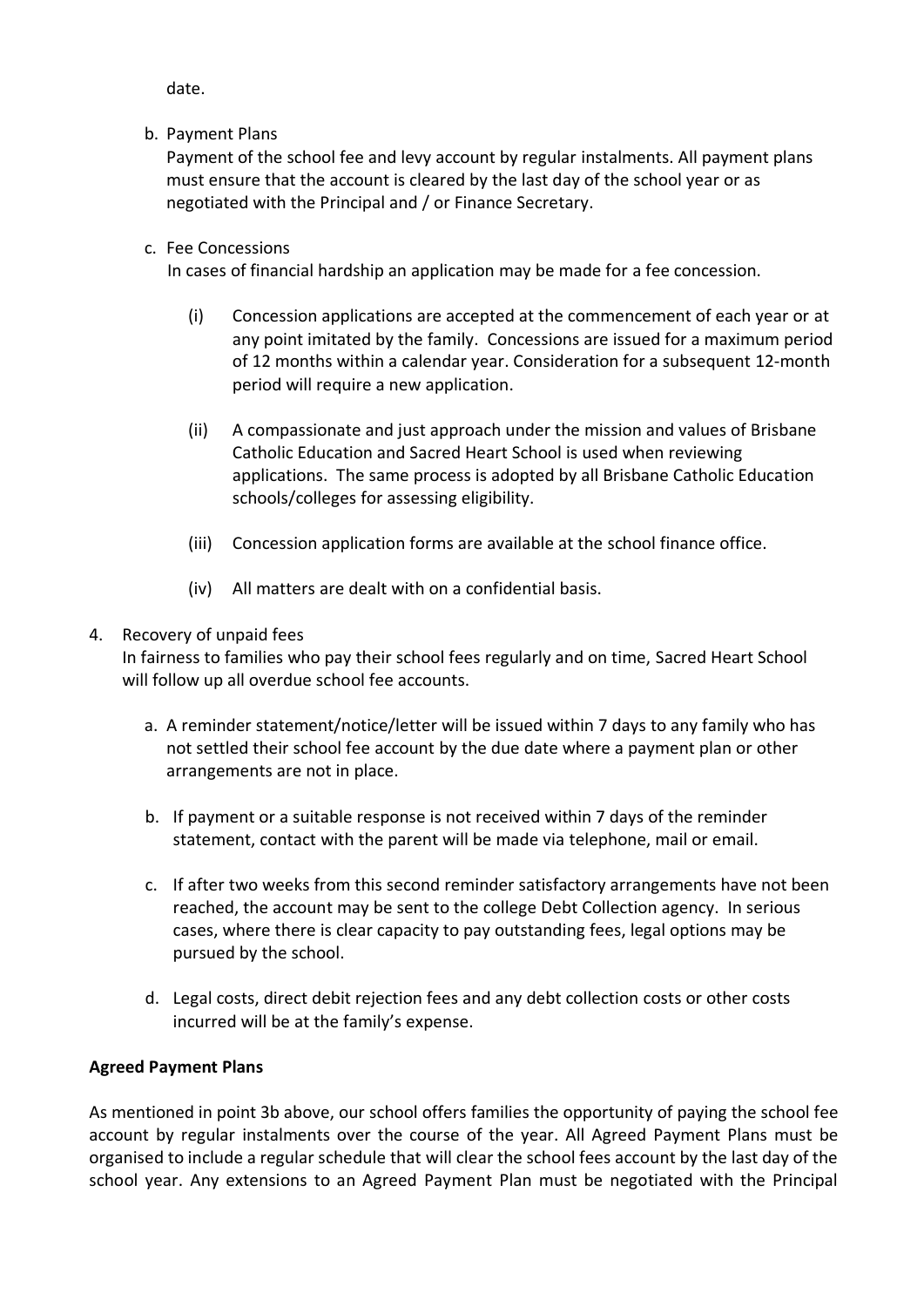date.

b. Payment Plans

Payment of the school fee and levy account by regular instalments. All payment plans must ensure that the account is cleared by the last day of the school year or as negotiated with the Principal and / or Finance Secretary.

c. Fee Concessions

In cases of financial hardship an application may be made for a fee concession.

- (i) Concession applications are accepted at the commencement of each year or at any point imitated by the family. Concessions are issued for a maximum period of 12 months within a calendar year. Consideration for a subsequent 12-month period will require a new application.
- (ii) A compassionate and just approach under the mission and values of Brisbane Catholic Education and Sacred Heart School is used when reviewing applications. The same process is adopted by all Brisbane Catholic Education schools/colleges for assessing eligibility.
- (iii) Concession application forms are available at the school finance office.
- (iv) All matters are dealt with on a confidential basis.

## 4. Recovery of unpaid fees

In fairness to families who pay their school fees regularly and on time, Sacred Heart School will follow up all overdue school fee accounts.

- a. A reminder statement/notice/letter will be issued within 7 days to any family who has not settled their school fee account by the due date where a payment plan or other arrangements are not in place.
- b. If payment or a suitable response is not received within 7 days of the reminder statement, contact with the parent will be made via telephone, mail or email.
- c. If after two weeks from this second reminder satisfactory arrangements have not been reached, the account may be sent to the college Debt Collection agency. In serious cases, where there is clear capacity to pay outstanding fees, legal options may be pursued by the school.
- d. Legal costs, direct debit rejection fees and any debt collection costs or other costs incurred will be at the family's expense.

# **Agreed Payment Plans**

As mentioned in point 3b above, our school offers families the opportunity of paying the school fee account by regular instalments over the course of the year. All Agreed Payment Plans must be organised to include a regular schedule that will clear the school fees account by the last day of the school year. Any extensions to an Agreed Payment Plan must be negotiated with the Principal